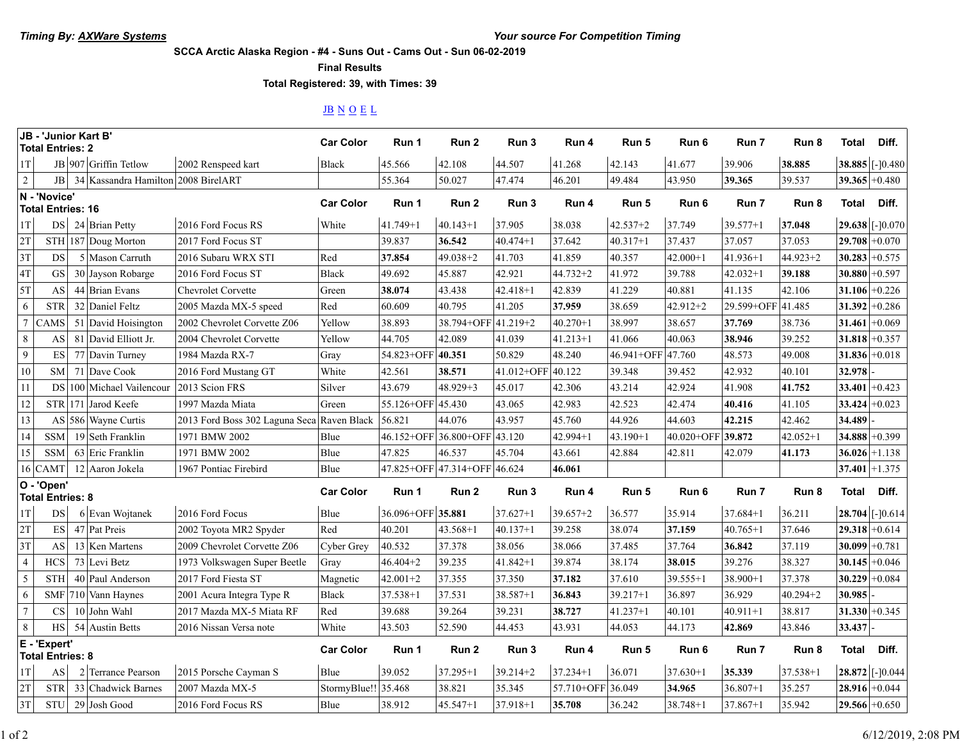**SCCA Arctic Alaska Region - #4 - Suns Out - Cams Out - Sun 06-02-2019**

**Final Results**

**Total Registered: 39, with Times: 39**

## JB N O E L

| JB - 'Junior Kart B'<br><b>Total Entries: 2</b> |                          |  |                                     | <b>Car Color</b>                           | Run 1               | Run 2             | Run 3                        | Run 4             | Run 5             | Run 6        | Run 7        | Run 8             | Total        | Diff.            |                   |
|-------------------------------------------------|--------------------------|--|-------------------------------------|--------------------------------------------|---------------------|-------------------|------------------------------|-------------------|-------------------|--------------|--------------|-------------------|--------------|------------------|-------------------|
| 1T                                              |                          |  | JB 907 Griffin Tetlow               | 2002 Renspeed kart                         | <b>Black</b>        | 45.566            | 42.108                       | 44.507            | 41.268            | 42.143       | 41.677       | 39.906            | 38.885       |                  | 38.885 [-]0.480   |
| $\overline{2}$                                  | JB                       |  | 34 Kassandra Hamilton 2008 BirelART |                                            |                     | 55.364            | 50.027                       | 47.474            | 46.201            | 49.484       | 43.950       | 39.365            | 39.537       | 39.365 + 0.480   |                   |
| N - 'Novice'<br><b>Total Entries: 16</b>        |                          |  |                                     | <b>Car Color</b>                           | Run 1               | Run 2             | Run 3                        | Run 4             | Run 5             | Run 6        | Run 7        | Run 8             | Total        | Diff.            |                   |
| 1T                                              | <b>DS</b>                |  | 24 Brian Petty                      | 2016 Ford Focus RS                         | White               | $41.749 + 1$      | $40.143 + 1$                 | 37.905            | 38.038            | $42.537 + 2$ | 37.749       | $39.577 + 1$      | 37.048       |                  | 29.638 [-]0.070   |
| 2T                                              |                          |  | STH 187 Doug Morton                 | 2017 Ford Focus ST                         |                     | 39.837            | 36.542                       | $40.474 + 1$      | 37.642            | $40.317 + 1$ | 37.437       | 37.057            | 37.053       | $29.708 + 0.070$ |                   |
| 3T                                              | DS                       |  | 5 Mason Carruth                     | 2016 Subaru WRX STI                        | Red                 | 37.854            | $49.038 + 2$                 | 41.703            | 41.859            | 40.357       | $42.000 + 1$ | $41.936 + 1$      | $44.923 + 2$ | 30.283           | $+0.575$          |
| 4T                                              | GS                       |  | 30 Jayson Robarge                   | 2016 Ford Focus ST                         | <b>Black</b>        | 49.692            | 45.887                       | 42.921            | 44.732+2          | 41.972       | 39.788       | $42.032 + 1$      | 39.188       | 30.880           | $+0.597$          |
| 5T                                              | AS                       |  | 44 Brian Evans                      | <b>Chevrolet Corvette</b>                  | Green               | 38.074            | 43.438                       | $42.418 + 1$      | 42.839            | 41.229       | 40.881       | 41.135            | 42.106       | 31.106           | $+0.226$          |
| 6                                               | <b>STR</b>               |  | 32 Daniel Feltz                     | 2005 Mazda MX-5 speed                      | Red                 | 60.609            | 40.795                       | 41.205            | 37.959            | 38.659       | $42.912 + 2$ | 29.599+OFF 41.485 |              | 31.392           | $+0.286$          |
| $7\phantom{.0}$                                 | CAMS                     |  | 51 David Hoisington                 | 2002 Chevrolet Corvette Z06                | Yellow              | 38.893            | 38.794+OFF 41.219+2          |                   | $40.270 + 1$      | 38.997       | 38.657       | 37.769            | 38.736       | 31.461           | $+0.069$          |
| 8                                               | AS                       |  | 81 David Elliott Jr.                | 2004 Chevrolet Corvette                    | Yellow              | 44.705            | 42.089                       | 41.039            | $41.213 + 1$      | 41.066       | 40.063       | 38.946            | 39.252       | $31.818 + 0.357$ |                   |
| 9                                               | $\mathop{\hbox{\rm ES}}$ |  | 77 Davin Turney                     | 1984 Mazda RX-7                            | Gray                | 54.823+OFF 40.351 |                              | 50.829            | 48.240            | 46.941+OFF   | 47.760       | 48.573            | 49.008       | 31.836 + 0.018   |                   |
| 10                                              | <b>SM</b>                |  | 71 Dave Cook                        | 2016 Ford Mustang GT                       | White               | 42.561            | 38.571                       | 41.012+OFF 40.122 |                   | 39.348       | 39.452       | 42.932            | 40.101       | 32.978           |                   |
| 11                                              |                          |  | DS 100 Michael Vailencour           | 2013 Scion FRS                             | Silver              | 43.679            | $48.929 + 3$                 | 45.017            | 42.306            | 43.214       | 42.924       | 41.908            | 41.752       | 33.401 + 0.423   |                   |
| 12                                              |                          |  | STR 171 Jarod Keefe                 | 1997 Mazda Miata                           | Green               | 55.126+OFF 45.430 |                              | 43.065            | 42.983            | 42.523       | 42.474       | 40.416            | 41.105       | $33.424 + 0.023$ |                   |
| 13                                              |                          |  | AS 586 Wayne Curtis                 | 2013 Ford Boss 302 Laguna Seca Raven Black |                     | 56.821            | 44.076                       | 43.957            | 45.760            | 44.926       | 44.603       | 42.215            | 42.462       | 34.489           |                   |
| 14                                              | <b>SSM</b>               |  | 19 Seth Franklin                    | 1971 BMW 2002                              | Blue                |                   | 46.152+OFF 36.800+OFF 43.120 |                   | $42.994 + 1$      | $43.190 + 1$ | 40.020+OFF   | 39.872            | $42.052 + 1$ | 34.888 + 0.399   |                   |
| 15                                              | <b>SSM</b>               |  | 63 Eric Franklin                    | 1971 BMW 2002                              | Blue                | 47.825            | 46.537                       | 45.704            | 43.661            | 42.884       | 42.811       | 42.079            | 41.173       | $36.026 + 1.138$ |                   |
|                                                 | 16 CAMT                  |  | 12 Aaron Jokela                     | 1967 Pontiac Firebird                      | Blue                |                   | 47.825+OFF 47.314+OFF 46.624 |                   | 46.061            |              |              |                   |              | $37.401 + 1.375$ |                   |
| O - 'Open'<br><b>Total Entries: 8</b>           |                          |  |                                     | <b>Car Color</b>                           | Run 1               | Run 2             | Run 3                        | Run 4             | Run 5             | Run 6        | Run 7        | Run 8             | <b>Total</b> | Diff.            |                   |
| 1T                                              | DS                       |  | 6 Evan Wojtanek                     | 2016 Ford Focus                            | Blue                | 36.096+OFF 35.881 |                              | $37.627 + 1$      | $39.657 + 2$      | 36.577       | 35.914       | $37.684 + 1$      | 36.211       |                  | $28.704$ [-]0.614 |
| 2T                                              | $\mathop{\hbox{\rm ES}}$ |  | 47 Pat Preis                        | 2002 Toyota MR2 Spyder                     | Red                 | 40.201            | $43.568 + 1$                 | $40.137 + 1$      | 39.258            | 38.074       | 37.159       | $40.765 + 1$      | 37.646       | $29.318 + 0.614$ |                   |
| 3T                                              | AS                       |  | 13 Ken Martens                      | 2009 Chevrolet Corvette Z06                | Cyber Grey          | 40.532            | 37.378                       | 38.056            | 38.066            | 37.485       | 37.764       | 36.842            | 37.119       | 30.099           | $+0.781$          |
| $\overline{4}$                                  | <b>HCS</b>               |  | 73 Levi Betz                        | 1973 Volkswagen Super Beetle               | Gray                | $46.404 + 2$      | 39.235                       | $41.842 + 1$      | 39.874            | 38.174       | 38.015       | 39.276            | 38.327       | 30.145           | $+0.046$          |
| 5                                               | <b>STH</b>               |  | 40 Paul Anderson                    | 2017 Ford Fiesta ST                        | Magnetic            | $42.001 + 2$      | 37.355                       | 37.350            | 37.182            | 37.610       | $39.555 + 1$ | $38.900 + 1$      | 37.378       | $30.229 + 0.084$ |                   |
| 6                                               |                          |  | SMF 710 Vann Haynes                 | 2001 Acura Integra Type R                  | <b>Black</b>        | $37.538 + 1$      | 37.531                       | $38.587 + 1$      | 36.843            | $39.217 + 1$ | 36.897       | 36.929            | $40.294 + 2$ | 30.985           |                   |
| $\overline{7}$                                  | $\mathbf{C}\mathbf{S}$   |  | 10 John Wahl                        | 2017 Mazda MX-5 Miata RF                   | Red                 | 39.688            | 39.264                       | 39.231            | 38.727            | $41.237 + 1$ | 40.101       | $40.911 + 1$      | 38.817       | $31.330 + 0.345$ |                   |
| $\,8\,$                                         | HS                       |  | 54 Austin Betts                     | 2016 Nissan Versa note                     | White               | 43.503            | 52.590                       | 44.453            | 43.931            | 44.053       | 44.173       | 42.869            | 43.846       | 33.437           |                   |
| E - 'Expert'<br><b>Total Entries: 8</b>         |                          |  |                                     | <b>Car Color</b>                           | Run 1               | Run 2             | Run 3                        | Run 4             | Run 5             | Run 6        | Run 7        | Run 8             | <b>Total</b> | Diff.            |                   |
| 1T                                              | $\mathbf{A}\mathbf{S}$   |  | 2 Terrance Pearson                  | 2015 Porsche Cayman S                      | Blue                | 39.052            | $37.295 + 1$                 | 39.214+2          | $37.234 + 1$      | 36.071       | $37.630 + 1$ | 35.339            | $37.538 + 1$ |                  | 28.872 [-]0.044   |
| 2T                                              | <b>STR</b>               |  | 33 Chadwick Barnes                  | 2007 Mazda MX-5                            | StormyBlue!! 35.468 |                   | 38.821                       | 35.345            | 57.710+OFF 36.049 |              | 34.965       | $36.807 + 1$      | 35.257       | $28.916 + 0.044$ |                   |
| 3T                                              | <b>STU</b>               |  | 29 Josh Good                        | 2016 Ford Focus RS                         | Blue                | 38.912            | $45.547 + 1$                 | 37.918+1          | 35.708            | 36.242       | $38.748 + 1$ | $37.867 + 1$      | 35.942       | $29.566 + 0.650$ |                   |